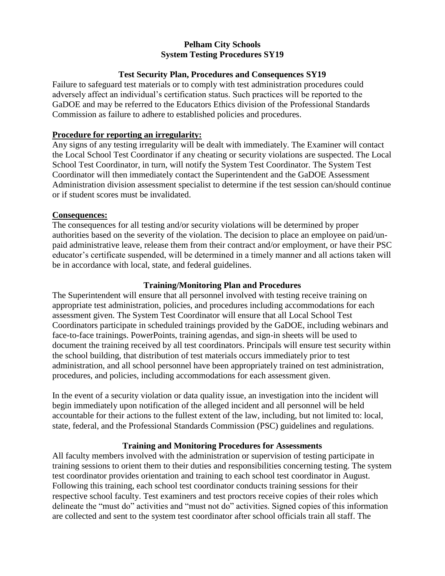### **Pelham City Schools System Testing Procedures SY19**

### **Test Security Plan, Procedures and Consequences SY19**

Failure to safeguard test materials or to comply with test administration procedures could adversely affect an individual's certification status. Such practices will be reported to the GaDOE and may be referred to the Educators Ethics division of the Professional Standards Commission as failure to adhere to established policies and procedures.

## **Procedure for reporting an irregularity:**

Any signs of any testing irregularity will be dealt with immediately. The Examiner will contact the Local School Test Coordinator if any cheating or security violations are suspected. The Local School Test Coordinator, in turn, will notify the System Test Coordinator. The System Test Coordinator will then immediately contact the Superintendent and the GaDOE Assessment Administration division assessment specialist to determine if the test session can/should continue or if student scores must be invalidated.

### **Consequences:**

The consequences for all testing and/or security violations will be determined by proper authorities based on the severity of the violation. The decision to place an employee on paid/unpaid administrative leave, release them from their contract and/or employment, or have their PSC educator's certificate suspended, will be determined in a timely manner and all actions taken will be in accordance with local, state, and federal guidelines.

#### **Training/Monitoring Plan and Procedures**

The Superintendent will ensure that all personnel involved with testing receive training on appropriate test administration, policies, and procedures including accommodations for each assessment given. The System Test Coordinator will ensure that all Local School Test Coordinators participate in scheduled trainings provided by the GaDOE, including webinars and face-to-face trainings. PowerPoints, training agendas, and sign-in sheets will be used to document the training received by all test coordinators. Principals will ensure test security within the school building, that distribution of test materials occurs immediately prior to test administration, and all school personnel have been appropriately trained on test administration, procedures, and policies, including accommodations for each assessment given.

In the event of a security violation or data quality issue, an investigation into the incident will begin immediately upon notification of the alleged incident and all personnel will be held accountable for their actions to the fullest extent of the law, including, but not limited to: local, state, federal, and the Professional Standards Commission (PSC) guidelines and regulations.

# **Training and Monitoring Procedures for Assessments**

All faculty members involved with the administration or supervision of testing participate in training sessions to orient them to their duties and responsibilities concerning testing. The system test coordinator provides orientation and training to each school test coordinator in August. Following this training, each school test coordinator conducts training sessions for their respective school faculty. Test examiners and test proctors receive copies of their roles which delineate the "must do" activities and "must not do" activities. Signed copies of this information are collected and sent to the system test coordinator after school officials train all staff. The